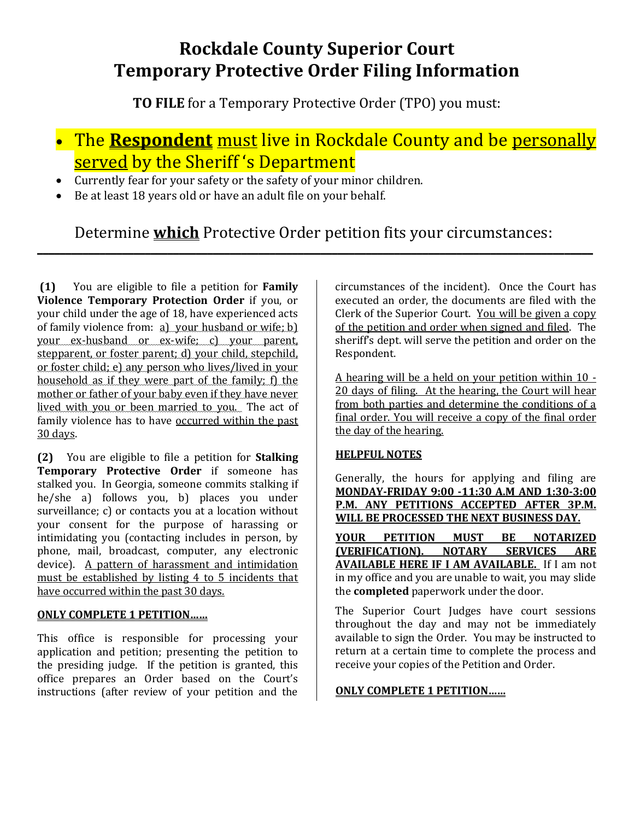## **Rockdale County Superior Court Temporary Protective Order Filing Information**

**TO FILE** for a Temporary Protective Order (TPO) you must:

# The **Respondent** must live in Rockdale County and be personally served by the Sheriff's Department

- Currently fear for your safety or the safety of your minor children.
- Be at least 18 years old or have an adult file on your behalf.

## Determine **which** Protective Order petition fits your circumstances: \_\_\_\_\_\_\_\_\_\_\_\_\_\_\_\_\_\_\_\_\_\_\_\_\_\_\_\_\_\_\_\_\_\_\_\_\_\_\_\_\_\_\_\_\_\_\_\_\_\_\_\_\_\_\_\_\_\_\_\_\_\_\_\_\_\_\_\_\_\_\_\_\_\_\_\_\_\_\_\_\_\_\_\_\_\_\_\_\_\_\_\_\_\_\_\_\_\_

**(1)** You are eligible to file a petition for **Family Violence Temporary Protection Order** if you, or your child under the age of 18, have experienced acts of family violence from: a) your husband or wife; b) your ex-husband or ex-wife; c) your parent, stepparent, or foster parent; d) your child, stepchild, or foster child; e) any person who lives/lived in your household as if they were part of the family; f) the mother or father of your baby even if they have never lived with you or been married to you. The act of family violence has to have occurred within the past 30 days.

**(2)** You are eligible to file a petition for **Stalking Temporary Protective Order** if someone has stalked you. In Georgia, someone commits stalking if he/she a) follows you, b) places you under surveillance; c) or contacts you at a location without your consent for the purpose of harassing or intimidating you (contacting includes in person, by phone, mail, broadcast, computer, any electronic device). A pattern of harassment and intimidation must be established by listing 4 to 5 incidents that have occurred within the past 30 days.

### **ONLY COMPLETE 1 PETITION……**

This office is responsible for processing your application and petition; presenting the petition to the presiding judge. If the petition is granted, this office prepares an Order based on the Court's instructions (after review of your petition and the circumstances of the incident). Once the Court has executed an order, the documents are filed with the Clerk of the Superior Court. You will be given a copy of the petition and order when signed and filed. The sheriff's dept. will serve the petition and order on the Respondent.

A hearing will be a held on your petition within 10 -20 days of filing. At the hearing, the Court will hear from both parties and determine the conditions of a final order. You will receive a copy of the final order the day of the hearing.

### **HELPFUL NOTES**

Generally, the hours for applying and filing are **MONDAY-FRIDAY 9:00 -11:30 A.M AND 1:30-3:00 P.M. ANY PETITIONS ACCEPTED AFTER 3P.M. WILL BE PROCESSED THE NEXT BUSINESS DAY.**

**YOUR PETITION MUST BE NOTARIZED (VERIFICATION). NOTARY SERVICES ARE AVAILABLE HERE IF I AM AVAILABLE.** If I am not in my office and you are unable to wait, you may slide the **completed** paperwork under the door.

The Superior Court Judges have court sessions throughout the day and may not be immediately available to sign the Order. You may be instructed to return at a certain time to complete the process and receive your copies of the Petition and Order.

#### **ONLY COMPLETE 1 PETITION……**